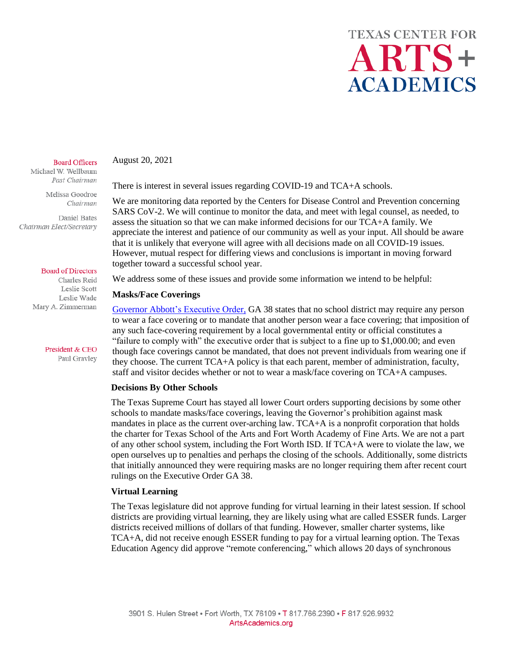#### **Board Officers**

Michael W. Wellbaum Past Chairman

> Melissa Goodroe Chairman

Daniel Bates Chairman Elect/Secretary

#### **Board of Directors**

Charles Reid Leslie Scott Leslie Wade Mary A. Zimmerman

> President & CEO Paul Gravley

There is interest in several issues regarding COVID-19 and TCA+A schools.

We are monitoring data reported by the Centers for Disease Control and Prevention concerning SARS CoV-2. We will continue to monitor the data, and meet with legal counsel, as needed, to assess the situation so that we can make informed decisions for our TCA+A family. We appreciate the interest and patience of our community as well as your input. All should be aware that it is unlikely that everyone will agree with all decisions made on all COVID-19 issues. However, mutual respect for differing views and conclusions is important in moving forward together toward a successful school year.

We address some of these issues and provide some information we intend to be helpful:

#### **Masks/Face Coverings**

August 20, 2021

[Governor Abbott's Executive Order,](https://gov.texas.gov/uploads/files/press/EO-GA-38_continued_response_to_the_COVID-19_disaster_IMAGE_07-29-2021.pdf) GA 38 states that no school district may require any person to wear a face covering or to mandate that another person wear a face covering; that imposition of any such face-covering requirement by a local governmental entity or official constitutes a "failure to comply with" the executive order that is subject to a fine up to \$1,000.00; and even though face coverings cannot be mandated, that does not prevent individuals from wearing one if they choose. The current TCA+A policy is that each parent, member of administration, faculty, staff and visitor decides whether or not to wear a mask/face covering on TCA+A campuses.

### **Decisions By Other Schools**

 The Texas Supreme Court has stayed all lower Court orders supporting decisions by some other schools to mandate masks/face coverings, leaving the Governor's prohibition against mask mandates in place as the current over-arching law. TCA+A is a nonprofit corporation that holds the charter for Texas School of the Arts and Fort Worth Academy of Fine Arts. We are not a part of any other school system, including the Fort Worth ISD. If TCA+A were to violate the law, we open ourselves up to penalties and perhaps the closing of the schools. Additionally, some districts that initially announced they were requiring masks are no longer requiring them after recent court rulings on the Executive Order GA 38.

## **Virtual Learning**

 The Texas legislature did not approve funding for virtual learning in their latest session. If school districts are providing virtual learning, they are likely using what are called ESSER funds. Larger districts received millions of dollars of that funding. However, smaller charter systems, like TCA+A, did not receive enough ESSER funding to pay for a virtual learning option. The Texas Education Agency did approve "remote conferencing," which allows 20 days of synchronous